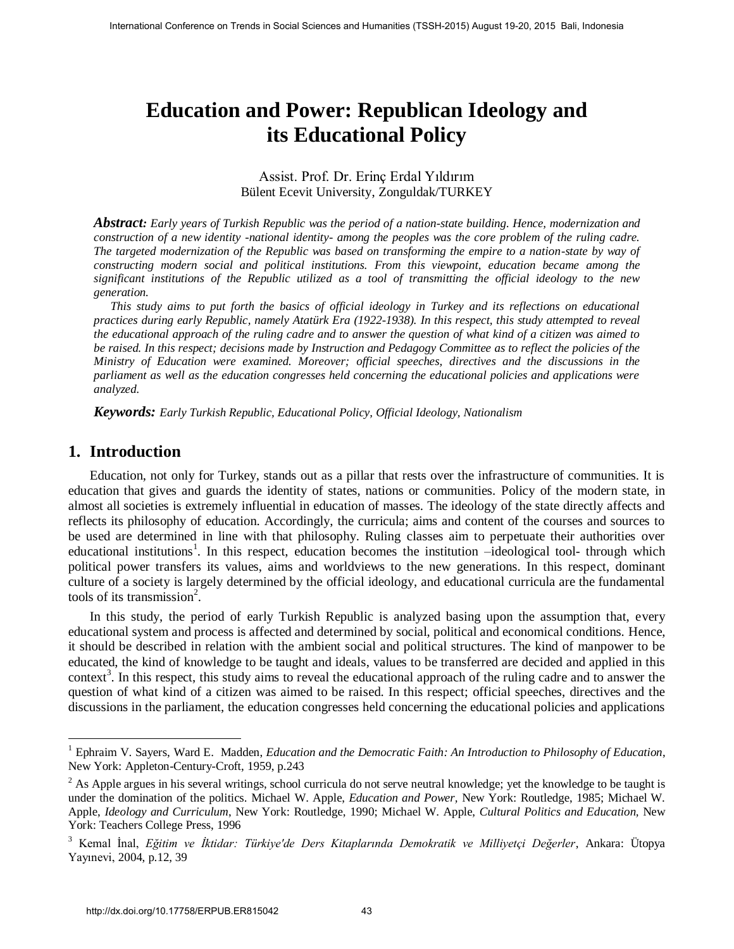# **Education and Power: Republican Ideology and its Educational Policy**

#### Assist. Prof. Dr. Erinç Erdal Yıldırım Bülent Ecevit University, Zonguldak/TURKEY

*Abstract: Early years of Turkish Republic was the period of a nation-state building. Hence, modernization and construction of a new identity -national identity- among the peoples was the core problem of the ruling cadre. The targeted modernization of the Republic was based on transforming the empire to a nation-state by way of constructing modern social and political institutions. From this viewpoint, education became among the significant institutions of the Republic utilized as a tool of transmitting the official ideology to the new generation.* 

*This study aims to put forth the basics of official ideology in Turkey and its reflections on educational practices during early Republic, namely Atatürk Era (1922-1938). In this respect, this study attempted to reveal the educational approach of the ruling cadre and to answer the question of what kind of a citizen was aimed to be raised. In this respect; decisions made by Instruction and Pedagogy Committee as to reflect the policies of the Ministry of Education were examined. Moreover; official speeches, directives and the discussions in the parliament as well as the education congresses held concerning the educational policies and applications were analyzed.* 

*Keywords: Early Turkish Republic, Educational Policy, Official Ideology, Nationalism*

#### **1. Introduction**

 $\overline{a}$ 

Education, not only for Turkey, stands out as a pillar that rests over the infrastructure of communities. It is education that gives and guards the identity of states, nations or communities. Policy of the modern state, in almost all societies is extremely influential in education of masses. The ideology of the state directly affects and reflects its philosophy of education. Accordingly, the curricula; aims and content of the courses and sources to be used are determined in line with that philosophy. Ruling classes aim to perpetuate their authorities over educational institutions<sup>1</sup>. In this respect, education becomes the institution -ideological tool- through which political power transfers its values, aims and worldviews to the new generations. In this respect, dominant culture of a society is largely determined by the official ideology, and educational curricula are the fundamental tools of its transmission<sup>2</sup>. Fractional Conference on Trends in Social Science on Trends in Trends in Social Sciences and Trends in Social Trends in Trends in Social Trends in Trends in Trends in Trends in Trends in Trends in Trends in Trends in the

In this study, the period of early Turkish Republic is analyzed basing upon the assumption that, every educational system and process is affected and determined by social, political and economical conditions. Hence, it should be described in relation with the ambient social and political structures. The kind of manpower to be educated, the kind of knowledge to be taught and ideals, values to be transferred are decided and applied in this context<sup>3</sup>. In this respect, this study aims to reveal the educational approach of the ruling cadre and to answer the question of what kind of a citizen was aimed to be raised. In this respect; official speeches, directives and the discussions in the parliament, the education congresses held concerning the educational policies and applications

<sup>&</sup>lt;sup>1</sup> Ephraim V. Sayers, Ward E. Madden, *Education and the Democratic Faith: An Introduction to Philosophy of Education*, New York: Appleton-Century-Croft, 1959, p.243

 $2^2$  As Apple argues in his several writings, school curricula do not serve neutral knowledge; yet the knowledge to be taught is under the domination of the politics. Michael W. Apple, *Education and Power,* New York: Routledge, 1985; Michael W. Apple, *Ideology and Curriculum*, New York: Routledge, 1990; Michael W. Apple, *Cultural Politics and Education,* New York: Teachers College Press, 1996

<sup>3</sup> Kemal İnal, *Eğitim ve İktidar: Türkiye'de Ders Kitaplarında Demokratik ve Milliyetçi Değerler*, Ankara: Ütopya Yayınevi, 2004, p.12, 39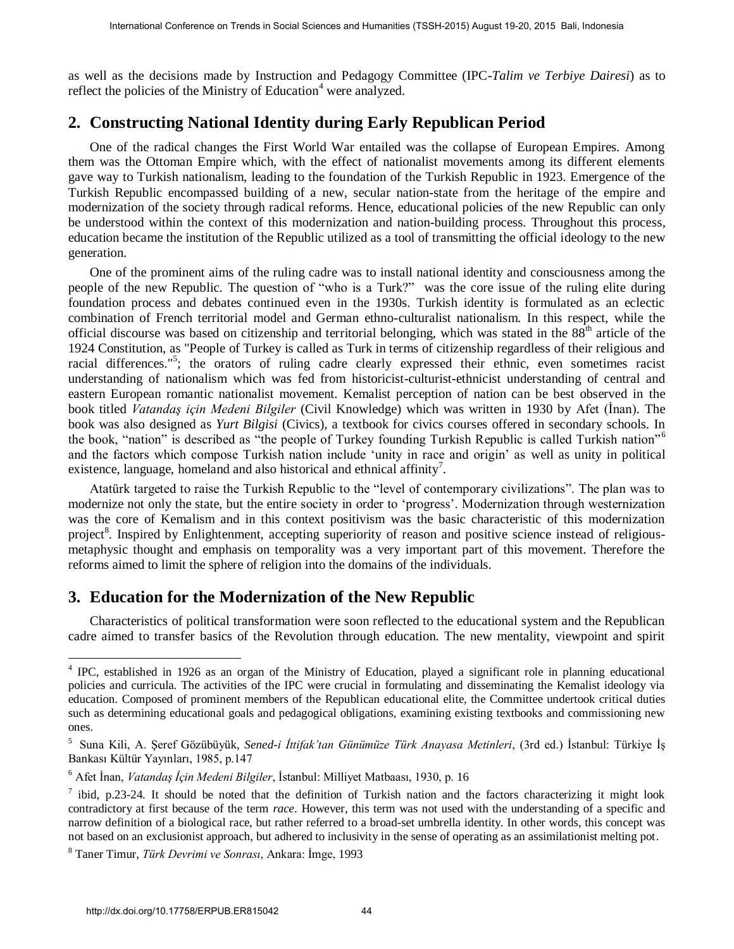as well as the decisions made by Instruction and Pedagogy Committee (IPC-*Talim ve Terbiye Dairesi*) as to reflect the policies of the Ministry of Education<sup>4</sup> were analyzed.

### **2. Constructing National Identity during Early Republican Period**

One of the radical changes the First World War entailed was the collapse of European Empires. Among them was the Ottoman Empire which, with the effect of nationalist movements among its different elements gave way to Turkish nationalism, leading to the foundation of the Turkish Republic in 1923. Emergence of the Turkish Republic encompassed building of a new, secular nation-state from the heritage of the empire and modernization of the society through radical reforms. Hence, educational policies of the new Republic can only be understood within the context of this modernization and nation-building process. Throughout this process, education became the institution of the Republic utilized as a tool of transmitting the official ideology to the new generation.

One of the prominent aims of the ruling cadre was to install national identity and consciousness among the people of the new Republic. The question of "who is a Turk?" was the core issue of the ruling elite during foundation process and debates continued even in the 1930s. Turkish identity is formulated as an eclectic combination of French territorial model and German ethno-culturalist nationalism. In this respect, while the official discourse was based on citizenship and territorial belonging, which was stated in the  $88<sup>th</sup>$  article of the 1924 Constitution, as "People of Turkey is called as Turk in terms of citizenship regardless of their religious and racial differences."<sup>5</sup>; the orators of ruling cadre clearly expressed their ethnic, even sometimes racist understanding of nationalism which was fed from historicist-culturist-ethnicist understanding of central and eastern European romantic nationalist movement. Kemalist perception of nation can be best observed in the book titled *Vatandaş için Medeni Bilgiler* (Civil Knowledge) which was written in 1930 by Afet (İnan). The book was also designed as *Yurt Bilgisi* (Civics)*,* a textbook for civics courses offered in secondary schools. In the book, "nation" is described as "the people of Turkey founding Turkish Republic is called Turkish nation"<sup>6</sup> and the factors which compose Turkish nation include 'unity in race and origin' as well as unity in political existence, language, homeland and also historical and ethnical affinity<sup>7</sup>. Fractional Colemera on Trends in Social Science or Conference (TSSH-2015) August 19-20, 2015 Bali, the Societies and Periodic Mummin (TSSH-2015) August 19-20, 2015 Bali, Indonesia by International Definition (TSC-7a0)ne a

Atatürk targeted to raise the Turkish Republic to the "level of contemporary civilizations". The plan was to modernize not only the state, but the entire society in order to 'progress'. Modernization through westernization was the core of Kemalism and in this context positivism was the basic characteristic of this modernization project<sup>8</sup>. Inspired by Enlightenment, accepting superiority of reason and positive science instead of religiousmetaphysic thought and emphasis on temporality was a very important part of this movement. Therefore the reforms aimed to limit the sphere of religion into the domains of the individuals.

#### **3. Education for the Modernization of the New Republic**

Characteristics of political transformation were soon reflected to the educational system and the Republican cadre aimed to transfer basics of the Revolution through education. The new mentality, viewpoint and spirit

<sup>&</sup>lt;sup>4</sup> IPC, established in 1926 as an organ of the Ministry of Education, played a significant role in planning educational policies and curricula. The activities of the IPC were crucial in formulating and disseminating the Kemalist ideology via education. Composed of prominent members of the Republican educational elite, the Committee undertook critical duties such as determining educational goals and pedagogical obligations, examining existing textbooks and commissioning new ones.

<sup>5</sup> Suna Kili, A. Şeref Gözübüyük, *Sened-i İttifak'tan Günümüze Türk Anayasa Metinleri*, (3rd ed.) İstanbul: Türkiye İş Bankası Kültür Yayınları, 1985, p.147

<sup>6</sup> Afet İnan, *Vatandaş İçin Medeni Bilgiler*, İstanbul: Milliyet Matbaası, 1930, p. 16

 $^7$  ibid, p.23-24. It should be noted that the definition of Turkish nation and the factors characterizing it might look contradictory at first because of the term *race*. However, this term was not used with the understanding of a specific and narrow definition of a biological race, but rather referred to a broad-set umbrella identity. In other words, this concept was not based on an exclusionist approach, but adhered to inclusivity in the sense of operating as an assimilationist melting pot.

<sup>8</sup> Taner Timur, *Türk Devrimi ve Sonrası*, Ankara: İmge, 1993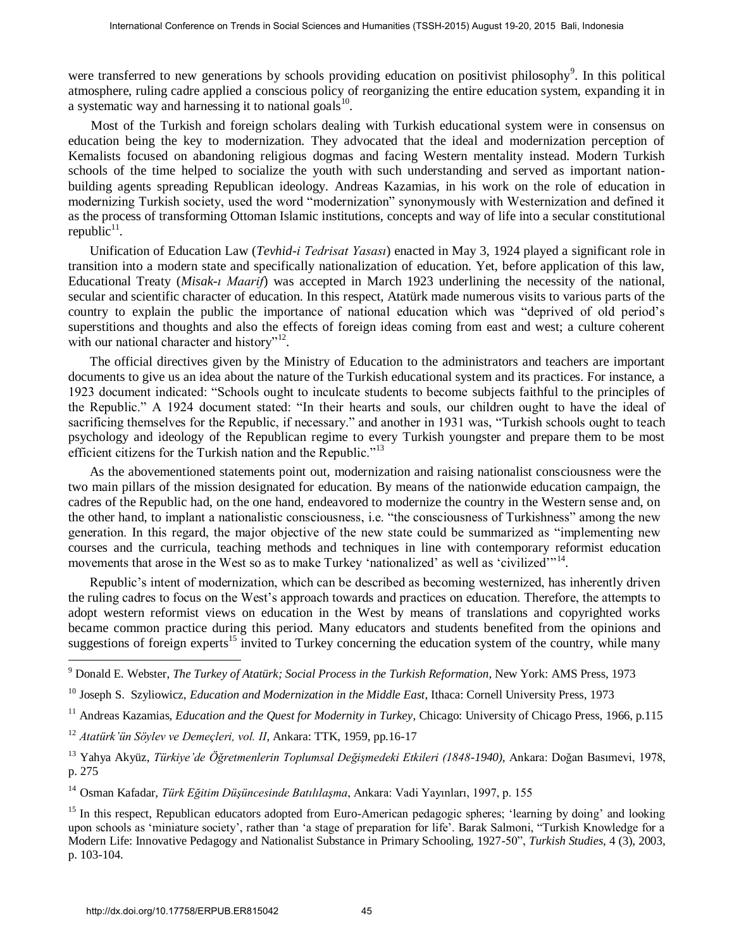were transferred to new generations by schools providing education on positivist philosophy<sup>9</sup>. In this political atmosphere, ruling cadre applied a conscious policy of reorganizing the entire education system, expanding it in a systematic way and harnessing it to national goals<sup>10</sup>.

 Most of the Turkish and foreign scholars dealing with Turkish educational system were in consensus on education being the key to modernization. They advocated that the ideal and modernization perception of Kemalists focused on abandoning religious dogmas and facing Western mentality instead. Modern Turkish schools of the time helped to socialize the youth with such understanding and served as important nationbuilding agents spreading Republican ideology. Andreas Kazamias, in his work on the role of education in modernizing Turkish society, used the word "modernization" synonymously with Westernization and defined it as the process of transforming Ottoman Islamic institutions, concepts and way of life into a secular constitutional  $republic<sup>11</sup>$ . Fracements Conference on Treadent describes and Sciences and Humanities (TSSH-2015) August 19-20, 2015 Bali, Indonesia http://dx.doi.org/10.1738/ERPUB.EREAFTEN (Humanities variable and the proposition of production produc

Unification of Education Law (*Tevhid-i Tedrisat Yasası*) enacted in May 3, 1924 played a significant role in transition into a modern state and specifically nationalization of education. Yet, before application of this law, Educational Treaty (*Misak-ı Maarif*) was accepted in March 1923 underlining the necessity of the national, secular and scientific character of education. In this respect, Atatürk made numerous visits to various parts of the country to explain the public the importance of national education which was "deprived of old period's superstitions and thoughts and also the effects of foreign ideas coming from east and west; a culture coherent with our national character and history"<sup>12</sup>.

The official directives given by the Ministry of Education to the administrators and teachers are important documents to give us an idea about the nature of the Turkish educational system and its practices. For instance, a 1923 document indicated: "Schools ought to inculcate students to become subjects faithful to the principles of the Republic." A 1924 document stated: "In their hearts and souls, our children ought to have the ideal of sacrificing themselves for the Republic, if necessary." and another in 1931 was, "Turkish schools ought to teach psychology and ideology of the Republican regime to every Turkish youngster and prepare them to be most efficient citizens for the Turkish nation and the Republic."<sup>13</sup>

As the abovementioned statements point out, modernization and raising nationalist consciousness were the two main pillars of the mission designated for education. By means of the nationwide education campaign, the cadres of the Republic had, on the one hand, endeavored to modernize the country in the Western sense and, on the other hand, to implant a nationalistic consciousness, i.e. "the consciousness of Turkishness" among the new generation. In this regard, the major objective of the new state could be summarized as "implementing new courses and the curricula, teaching methods and techniques in line with contemporary reformist education movements that arose in the West so as to make Turkey 'nationalized' as well as 'civilized'"<sup>14</sup>.

Republic's intent of modernization, which can be described as becoming westernized, has inherently driven the ruling cadres to focus on the West's approach towards and practices on education. Therefore, the attempts to adopt western reformist views on education in the West by means of translations and copyrighted works became common practice during this period. Many educators and students benefited from the opinions and suggestions of foreign experts<sup>15</sup> invited to Turkey concerning the education system of the country, while many

<sup>14</sup> Osman Kafadar, *Türk Eğitim Düşüncesinde Batılılaşma*, Ankara: Vadi Yayınları, 1997, p. 155

 9 Donald E. Webster, *The Turkey of Atatürk; Social Process in the Turkish Reformation*, New York: AMS Press, 1973

<sup>10</sup> Joseph S. Szyliowicz, *Education and Modernization in the Middle East*, Ithaca: Cornell University Press, 1973

<sup>&</sup>lt;sup>11</sup> Andreas Kazamias, *Education and the Quest for Modernity in Turkey*, Chicago: University of Chicago Press, 1966, p.115

<sup>12</sup> *Atatürk'ün Söylev ve Demeçleri, vol. II*, Ankara: TTK, 1959, pp.16-17

<sup>&</sup>lt;sup>13</sup> Yahya Akyüz, *Türkiye'de Öğretmenlerin Toplumsal Değişmedeki Etkileri (1848-1940), Ankara: Doğan Basımevi, 1978,* p. 275

<sup>&</sup>lt;sup>15</sup> In this respect, Republican educators adopted from Euro-American pedagogic spheres; 'learning by doing' and looking upon schools as 'miniature society', rather than 'a stage of preparation for life'. Barak Salmoni, "Turkish Knowledge for a Modern Life: Innovative Pedagogy and Nationalist Substance in Primary Schooling, 1927-50", *Turkish Studies*, 4 (3), 2003, p. 103-104.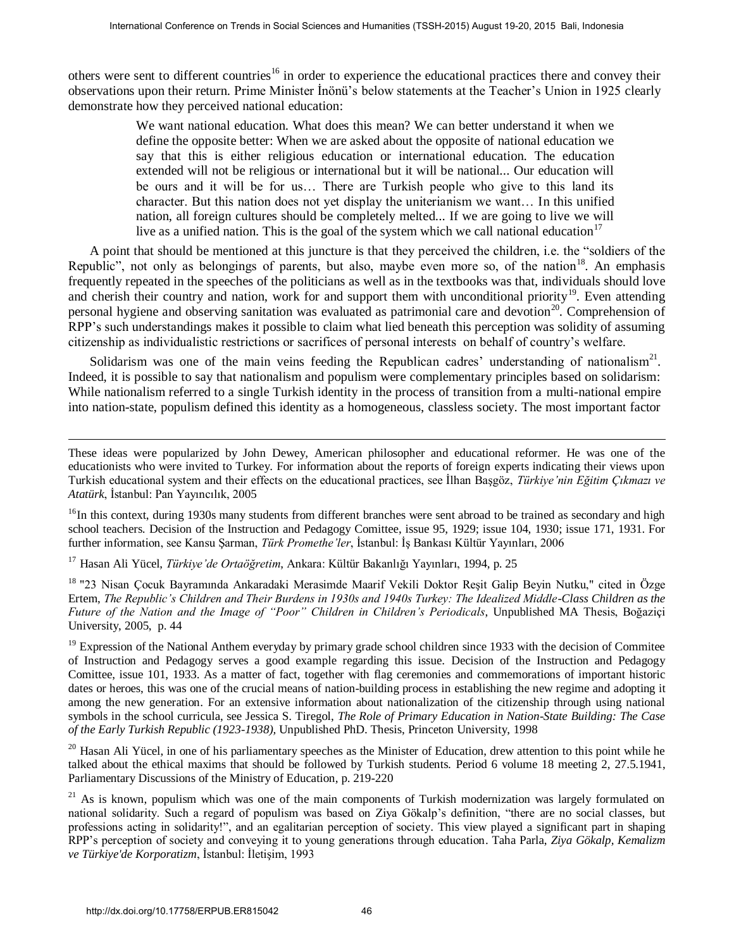others were sent to different countries<sup>16</sup> in order to experience the educational practices there and convey their observations upon their return. Prime Minister İnönü's below statements at the Teacher's Union in 1925 clearly demonstrate how they perceived national education:

We want national education. What does this mean? We can better understand it when we define the opposite better: When we are asked about the opposite of national education we say that this is either religious education or international education. The education extended will not be religious or international but it will be national... Our education will be ours and it will be for us… There are Turkish people who give to this land its character. But this nation does not yet display the uniterianism we want… In this unified nation, all foreign cultures should be completely melted... If we are going to live we will live as a unified nation. This is the goal of the system which we call national education<sup>17</sup> Fracences on Treds in Social Science or Units in Social Science of Sciences and Frace of Sciences and Frace of Sciences and Frace of Sciences and Frace of Sciences and Humanities (Task Humanities (Task Humanities and Huma

A point that should be mentioned at this juncture is that they perceived the children, i.e. the "soldiers of the Republic", not only as belongings of parents, but also, maybe even more so, of the nation<sup>18</sup>. An emphasis frequently repeated in the speeches of the politicians as well as in the textbooks was that, individuals should love and cherish their country and nation, work for and support them with unconditional priority<sup>19</sup>. Even attending personal hygiene and observing sanitation was evaluated as patrimonial care and devotion<sup>20</sup>. Comprehension of RPP's such understandings makes it possible to claim what lied beneath this perception was solidity of assuming citizenship as individualistic restrictions or sacrifices of personal interests on behalf of country's welfare.

Solidarism was one of the main veins feeding the Republican cadres' understanding of nationalism<sup>21</sup>. Indeed, it is possible to say that nationalism and populism were complementary principles based on solidarism: While nationalism referred to a single Turkish identity in the process of transition from a multi-national empire into nation-state, populism defined this identity as a homogeneous, classless society. The most important factor

These ideas were popularized by John Dewey, American philosopher and educational reformer. He was one of the educationists who were invited to Turkey. For information about the reports of foreign experts indicating their views upon Turkish educational system and their effects on the educational practices, see İlhan Başgöz, *Türkiye'nin Eğitim Çıkmazı ve Atatürk*, İstanbul: Pan Yayıncılık, 2005

 $16$ In this context, during 1930s many students from different branches were sent abroad to be trained as secondary and high school teachers. Decision of the Instruction and Pedagogy Comittee, issue 95, 1929; issue 104, 1930; issue 171, 1931. For further information, see Kansu Şarman, *Türk Promethe'ler*, İstanbul: İş Bankası Kültür Yayınları, 2006

<sup>17</sup> Hasan Ali Yücel, *Türkiye'de Ortaöğretim*, Ankara: Kültür Bakanlığı Yayınları, 1994, p. 25

<sup>18</sup> "23 Nisan Çocuk Bayramında Ankaradaki Merasimde Maarif Vekili Doktor Reşit Galip Beyin Nutku," cited in Özge Ertem, *The Republic's Children and Their Burdens in 1930s and 1940s Turkey: The Idealized Middle-Class Children as the Future of the Nation and the Image of "Poor" Children in Children's Periodicals*, Unpublished MA Thesis, Boğaziçi University, 2005, p. 44

 $19$  Expression of the National Anthem everyday by primary grade school children since 1933 with the decision of Commitee of Instruction and Pedagogy serves a good example regarding this issue. Decision of the Instruction and Pedagogy Comittee, issue 101, 1933. As a matter of fact, together with flag ceremonies and commemorations of important historic dates or heroes, this was one of the crucial means of nation-building process in establishing the new regime and adopting it among the new generation. For an extensive information about nationalization of the citizenship through using national symbols in the school curricula, see Jessica S. Tiregol, *[The Role of Primary Education in Nation-State Building: The Case](http://proquest.umi.com/pqdweb?index=0&did=737994971&SrchMode=1&sid=5&Fmt=2&VInst=PROD&VType=PQD&RQT=309&VName=PQD&TS=1199289286&clientId=37478)  of the Early Turkish Republic (1923-1938),* Unpublished PhD. Thesis, Princeton University, 1998

 $20$  Hasan Ali Yücel, in one of his parliamentary speeches as the Minister of Education, drew attention to this point while he talked about the ethical maxims that should be followed by Turkish students. Period 6 volume 18 meeting 2, 27.5.1941, Parliamentary Discussions of the Ministry of Education, p. 219-220

 $2<sup>1</sup>$  As is known, populism which was one of the main components of Turkish modernization was largely formulated on national solidarity. Such a regard of populism was based on Ziya Gökalp's definition, "there are no social classes, but professions acting in solidarity!", and an egalitarian perception of society. This view played a significant part in shaping RPP's perception of society and conveying it to young generations through education. Taha Parla, *Ziya Gökalp, Kemalizm ve Türkiye'de Korporatizm*, İstanbul: İletişim, 1993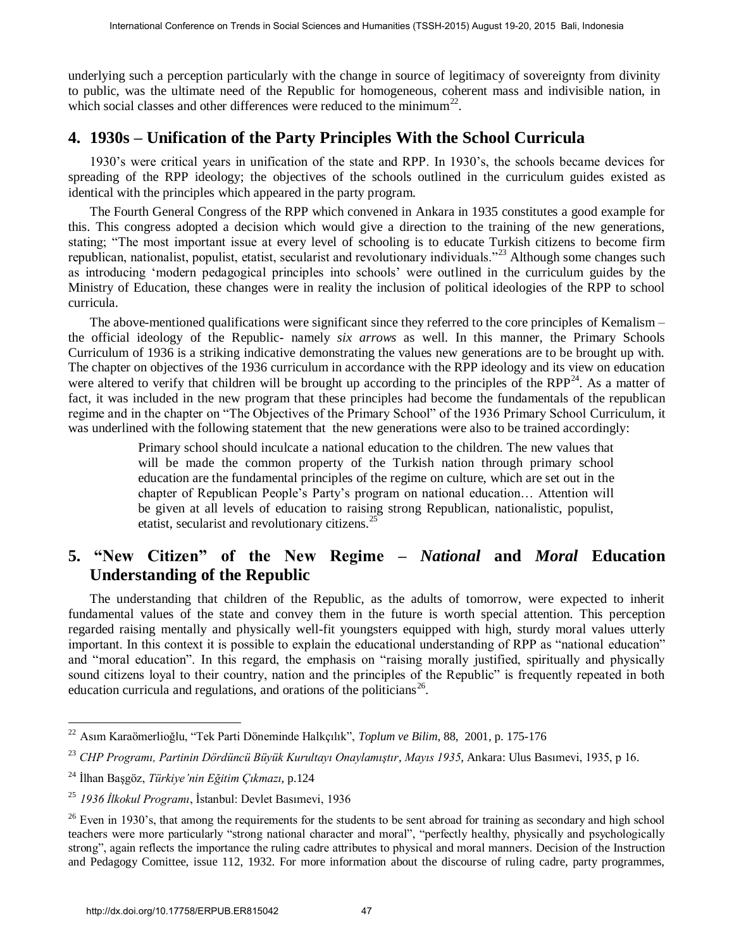underlying such a perception particularly with the change in source of legitimacy of sovereignty from divinity to public, was the ultimate need of the Republic for homogeneous, coherent mass and indivisible nation, in which social classes and other differences were reduced to the minimum<sup>22</sup>.

## **4. 1930s – Unification of the Party Principles With the School Curricula**

1930's were critical years in unification of the state and RPP. In 1930's, the schools became devices for spreading of the RPP ideology; the objectives of the schools outlined in the curriculum guides existed as identical with the principles which appeared in the party program.

The Fourth General Congress of the RPP which convened in Ankara in 1935 constitutes a good example for this. This congress adopted a decision which would give a direction to the training of the new generations, stating; "The most important issue at every level of schooling is to educate Turkish citizens to become firm republican, nationalist, populist, etatist, secularist and revolutionary individuals."<sup>23</sup> Although some changes such as introducing 'modern pedagogical principles into schools' were outlined in the curriculum guides by the Ministry of Education, these changes were in reality the inclusion of political ideologies of the RPP to school curricula.

The above-mentioned qualifications were significant since they referred to the core principles of Kemalism – the official ideology of the Republic- namely *six arrows* as well. In this manner, the Primary Schools Curriculum of 1936 is a striking indicative demonstrating the values new generations are to be brought up with. The chapter on objectives of the 1936 curriculum in accordance with the RPP ideology and its view on education were altered to verify that children will be brought up according to the principles of the RPP<sup>24</sup>. As a matter of fact, it was included in the new program that these principles had become the fundamentals of the republican regime and in the chapter on "The Objectives of the Primary School" of the 1936 Primary School Curriculum, it was underlined with the following statement that the new generations were also to be trained accordingly: Fractional Colemetra on Trude in Social Science or the balistance (TSSH-2015) August 19-20, 2015 Bali, the conference of the figure in society of social conference of the figure of the conference of the figure of the conf

Primary school should inculcate a national education to the children. The new values that will be made the common property of the Turkish nation through primary school education are the fundamental principles of the regime on culture, which are set out in the chapter of Republican People's Party's program on national education… Attention will be given at all levels of education to raising strong Republican, nationalistic, populist, etatist, secularist and revolutionary citizens.<sup>25</sup>

# **5. "New Citizen" of the New Regime –** *National* **and** *Moral* **Education Understanding of the Republic**

The understanding that children of the Republic, as the adults of tomorrow, were expected to inherit fundamental values of the state and convey them in the future is worth special attention. This perception regarded raising mentally and physically well-fit youngsters equipped with high, sturdy moral values utterly important. In this context it is possible to explain the educational understanding of RPP as "national education" and "moral education". In this regard, the emphasis on "raising morally justified, spiritually and physically sound citizens loyal to their country, nation and the principles of the Republic" is frequently repeated in both education curricula and regulations, and orations of the politicians<sup>26</sup>.

 22 Asım Karaömerlioğlu, "Tek Parti Döneminde Halkçılık", *Toplum ve Bilim*, 88, 2001, p. 175-176

<sup>23</sup> *CHP Programı, Partinin Dördüncü Büyük Kurultayı Onaylamıştır*, *Mayıs 1935*, Ankara: Ulus Basımevi, 1935, p 16.

<sup>24</sup> İlhan Başgöz, *Türkiye'nin Eğitim Çıkmazı*, p.124

<sup>25</sup> *1936 İlkokul Programı*, İstanbul: Devlet Basımevi, 1936

<sup>&</sup>lt;sup>26</sup> Even in 1930's, that among the requirements for the students to be sent abroad for training as secondary and high school teachers were more particularly "strong national character and moral", "perfectly healthy, physically and psychologically strong", again reflects the importance the ruling cadre attributes to physical and moral manners. Decision of the Instruction and Pedagogy Comittee, issue 112, 1932. For more information about the discourse of ruling cadre, party programmes,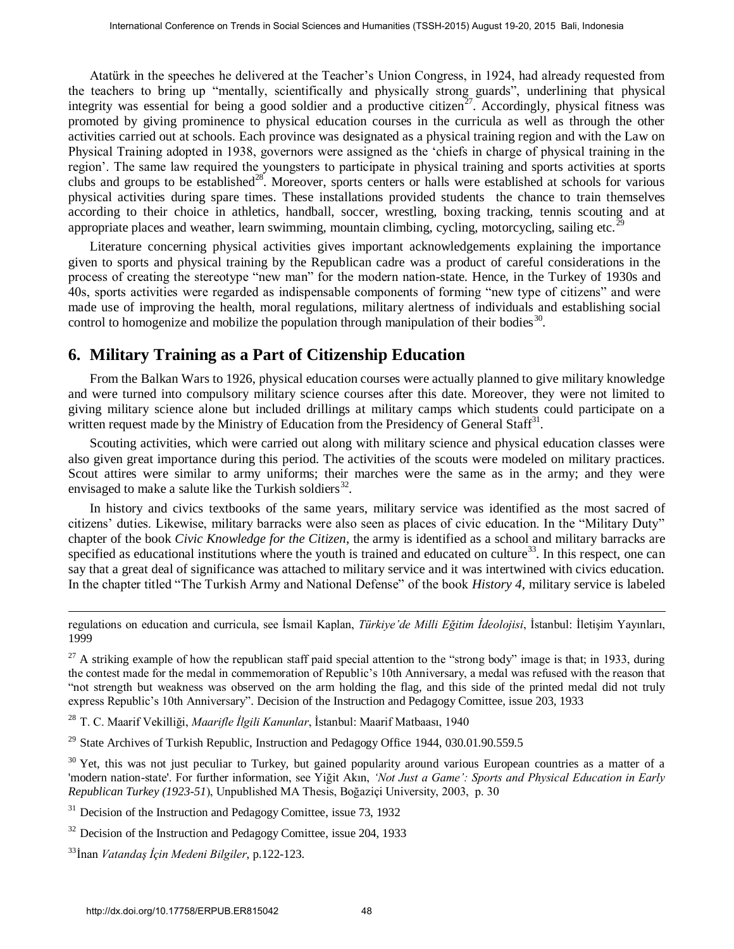Atatürk in the speeches he delivered at the Teacher's Union Congress, in 1924, had already requested from the teachers to bring up "mentally, scientifically and physically strong guards", underlining that physical integrity was essential for being a good soldier and a productive citizen<sup>27</sup>. Accordingly, physical fitness was promoted by giving prominence to physical education courses in the curricula as well as through the other activities carried out at schools. Each province was designated as a physical training region and with the Law on Physical Training adopted in 1938, governors were assigned as the 'chiefs in charge of physical training in the region'. The same law required the youngsters to participate in physical training and sports activities at sports clubs and groups to be established<sup>28</sup>. Moreover, sports centers or halls were established at schools for various physical activities during spare times. These installations provided students the chance to train themselves according to their choice in athletics, handball, soccer, wrestling, boxing tracking, tennis scouting and at appropriate places and weather, learn swimming, mountain climbing, cycling, motorcycling, sailing etc. Fractures on Truths is food Science or Units in Social Sciences and 1951-2013 August 1942. 2015 Bali, the specific that the greated business and 1954. And Humanities in the conference on 1974. And Humanities in the societ

Literature concerning physical activities gives important acknowledgements explaining the importance given to sports and physical training by the Republican cadre was a product of careful considerations in the process of creating the stereotype "new man" for the modern nation-state. Hence, in the Turkey of 1930s and 40s, sports activities were regarded as indispensable components of forming "new type of citizens" and were made use of improving the health, moral regulations, military alertness of individuals and establishing social control to homogenize and mobilize the population through manipulation of their bodies $30$ .

## **6. Military Training as a Part of Citizenship Education**

From the Balkan Wars to 1926, physical education courses were actually planned to give military knowledge and were turned into compulsory military science courses after this date. Moreover, they were not limited to giving military science alone but included drillings at military camps which students could participate on a written request made by the Ministry of Education from the Presidency of General Staff<sup>31</sup>.

Scouting activities, which were carried out along with military science and physical education classes were also given great importance during this period. The activities of the scouts were modeled on military practices. Scout attires were similar to army uniforms; their marches were the same as in the army; and they were envisaged to make a salute like the Turkish soldiers $^{32}$ .

In history and civics textbooks of the same years, military service was identified as the most sacred of citizens' duties. Likewise, military barracks were also seen as places of civic education. In the "Military Duty" chapter of the book *Civic Knowledge for the Citizen*, the army is identified as a school and military barracks are specified as educational institutions where the youth is trained and educated on culture $^{33}$ . In this respect, one can say that a great deal of significance was attached to military service and it was intertwined with civics education. In the chapter titled "The Turkish Army and National Defense" of the book *History 4*, military service is labeled

regulations on education and curricula, see İsmail Kaplan, *Türkiye'de Milli Eğitim İdeolojisi*, İstanbul: İletişim Yayınları, 1999

 $^{27}$  A striking example of how the republican staff paid special attention to the "strong body" image is that; in 1933, during the contest made for the medal in commemoration of Republic's 10th Anniversary, a medal was refused with the reason that "not strength but weakness was observed on the arm holding the flag, and this side of the printed medal did not truly express Republic's 10th Anniversary". Decision of the Instruction and Pedagogy Comittee, issue 203, 1933

<sup>28</sup> T. C. Maarif Vekilliği, *Maarifle İlgili Kanunlar*, İstanbul: Maarif Matbaası, 1940

<sup>&</sup>lt;sup>29</sup> State Archives of Turkish Republic, Instruction and Pedagogy Office 1944, 030.01.90.559.5

 $30$  Yet, this was not just peculiar to Turkey, but gained popularity around various European countries as a matter of a 'modern nation-state'. For further information, see Yiğit Akın, *'Not Just a Game': Sports and Physical Education in Early Republican Turkey (1923-51*), Unpublished MA Thesis, Boğaziçi University, 2003, p. 30

 $31$  Decision of the Instruction and Pedagogy Comittee, issue 73, 1932

 $32$  Decision of the Instruction and Pedagogy Comittee, issue 204, 1933

<sup>33</sup>İnan *Vatandaş İçin Medeni Bilgiler*, p.122-123.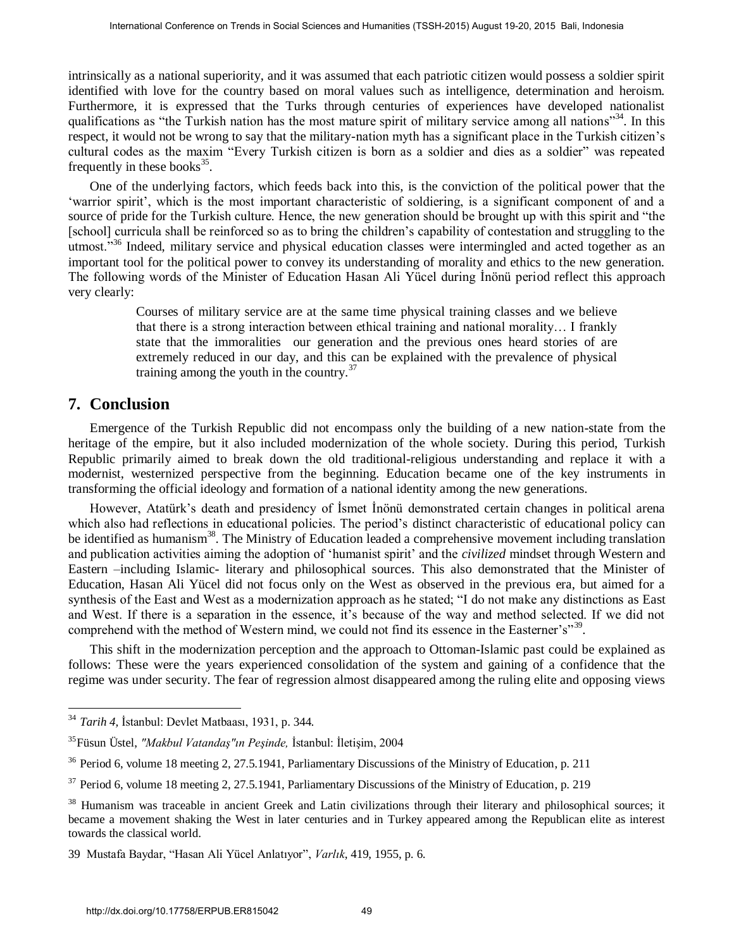intrinsically as a national superiority, and it was assumed that each patriotic citizen would possess a soldier spirit identified with love for the country based on moral values such as intelligence, determination and heroism. Furthermore, it is expressed that the Turks through centuries of experiences have developed nationalist qualifications as "the Turkish nation has the most mature spirit of military service among all nations"<sup>34</sup>. In this respect, it would not be wrong to say that the military-nation myth has a significant place in the Turkish citizen's cultural codes as the maxim "Every Turkish citizen is born as a soldier and dies as a soldier" was repeated frequently in these books $35$ .

One of the underlying factors, which feeds back into this, is the conviction of the political power that the 'warrior spirit', which is the most important characteristic of soldiering, is a significant component of and a source of pride for the Turkish culture. Hence, the new generation should be brought up with this spirit and "the [school] curricula shall be reinforced so as to bring the children's capability of contestation and struggling to the utmost.<sup>336</sup> Indeed, military service and physical education classes were intermingled and acted together as an important tool for the political power to convey its understanding of morality and ethics to the new generation. The following words of the Minister of Education Hasan Ali Yücel during İnönü period reflect this approach very clearly:

> Courses of military service are at the same time physical training classes and we believe that there is a strong interaction between ethical training and national morality… I frankly state that the immoralities our generation and the previous ones heard stories of are extremely reduced in our day, and this can be explained with the prevalence of physical training among the youth in the country. $37$

### **7. Conclusion**

Emergence of the Turkish Republic did not encompass only the building of a new nation-state from the heritage of the empire, but it also included modernization of the whole society. During this period, Turkish Republic primarily aimed to break down the old traditional-religious understanding and replace it with a modernist, westernized perspective from the beginning. Education became one of the key instruments in transforming the official ideology and formation of a national identity among the new generations.

However, Atatürk's death and presidency of İsmet İnönü demonstrated certain changes in political arena which also had reflections in educational policies. The period's distinct characteristic of educational policy can be identified as humanism<sup>38</sup>. The Ministry of Education leaded a comprehensive movement including translation and publication activities aiming the adoption of 'humanist spirit' and the *civilized* mindset through Western and Eastern –including Islamic- literary and philosophical sources. This also demonstrated that the Minister of Education, Hasan Ali Yücel did not focus only on the West as observed in the previous era, but aimed for a synthesis of the East and West as a modernization approach as he stated; "I do not make any distinctions as East and West. If there is a separation in the essence, it's because of the way and method selected. If we did not comprehend with the method of Western mind, we could not find its essence in the Easterner's"<sup>39</sup>. **Fracta Conference on Trends in Social Sciences and Humanities (TSSH-2015) August 19-20, 2015 Bali, this conference on Trends in Social Science on Trends in Social Science of August 19-20, 2015 Bali, Indicate and Humanit** 

This shift in the modernization perception and the approach to Ottoman-Islamic past could be explained as follows: These were the years experienced consolidation of the system and gaining of a confidence that the regime was under security. The fear of regression almost disappeared among the ruling elite and opposing views

 34 *Tarih 4,* İstanbul: Devlet Matbaası, 1931, p. 344*.* 

<sup>35</sup> Füsun Üstel, *"Makbul Vatandaş"ın Peşinde,* İstanbul: İletişim, 2004

<sup>&</sup>lt;sup>36</sup> Period 6, volume 18 meeting 2, 27.5.1941, Parliamentary Discussions of the Ministry of Education, p. 211

 $37$  Period 6, volume 18 meeting 2, 27.5.1941, Parliamentary Discussions of the Ministry of Education, p. 219

<sup>&</sup>lt;sup>38</sup> Humanism was traceable in ancient Greek and Latin civilizations through their literary and philosophical sources; it became a movement shaking the West in later centuries and in Turkey appeared among the Republican elite as interest towards the classical world.

<sup>39</sup> Mustafa Baydar, "Hasan Ali Yücel Anlatıyor", *Varlık*, 419, 1955, p. 6.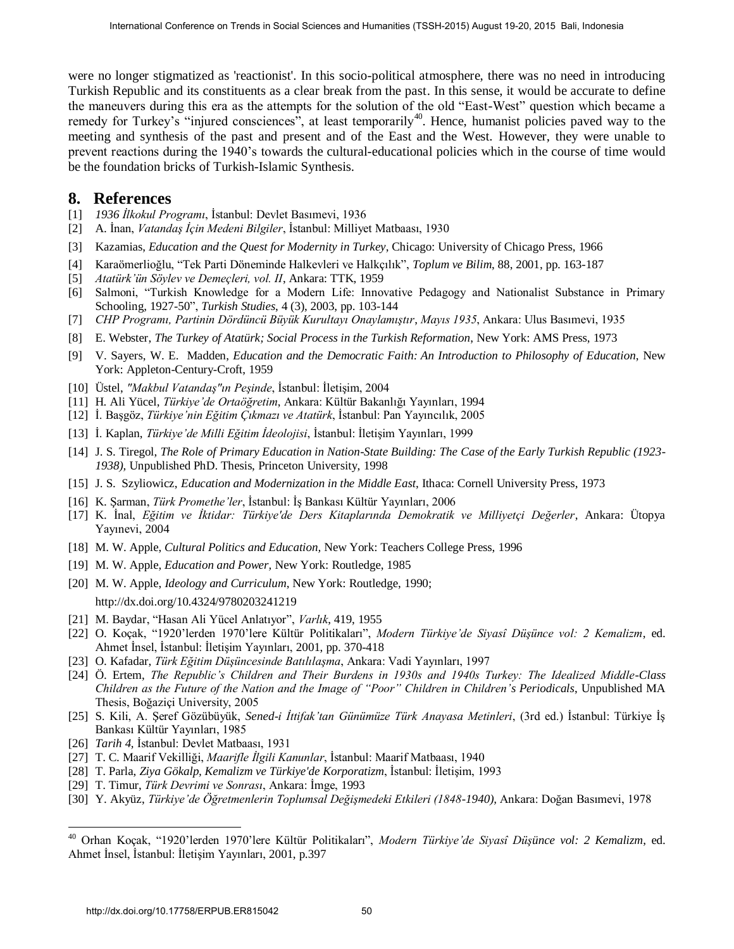were no longer stigmatized as 'reactionist'. In this socio-political atmosphere, there was no need in introducing Turkish Republic and its constituents as a clear break from the past. In this sense, it would be accurate to define the maneuvers during this era as the attempts for the solution of the old "East-West" question which became a remedy for Turkey's "injured consciences", at least temporarily<sup>40</sup>. Hence, humanist policies paved way to the meeting and synthesis of the past and present and of the East and the West. However, they were unable to prevent reactions during the 1940's towards the cultural-educational policies which in the course of time would be the foundation bricks of Turkish-Islamic Synthesis. **International Conference on Trends in Social Sciences and Humanities (TSSH-2015) August 19-20, 2015 Bali, 19-20, 2015 Bali, 19-20, 2015 Bali, 19-20, 2015 Bali, 19-20, 2015 Bali, 19-20, 2015 Bali, 19-20, 2015 Bali, 19-20** 

#### **8. References**

- [1] *1936 İlkokul Programı*, İstanbul: Devlet Basımevi, 1936
- [2] A. İnan, *Vatandaş İçin Medeni Bilgiler*, İstanbul: Milliyet Matbaası, 1930
- [3] Kazamias, *Education and the Quest for Modernity in Turkey*, Chicago: University of Chicago Press, 1966
- [4] Karaömerlioğlu, "Tek Parti Döneminde Halkevleri ve Halkçılık", *Toplum ve Bilim*, 88, 2001, pp. 163-187
- [5] *Atatürk'ün Söylev ve Demeçleri, vol. II*, Ankara: TTK, 1959
- [6] Salmoni, "Turkish Knowledge for a Modern Life: Innovative Pedagogy and Nationalist Substance in Primary Schooling, 1927-50", *Turkish Studies*, 4 (3), 2003, pp. 103-144
- [7] *CHP Programı, Partinin Dördüncü Büyük Kurultayı Onaylamıştır*, *Mayıs 1935*, Ankara: Ulus Basımevi, 1935
- [8] E. Webster, *The Turkey of Atatürk; Social Process in the Turkish Reformation*, New York: AMS Press, 1973
- [9] V. Sayers, W. E. Madden, *Education and the Democratic Faith: An Introduction to Philosophy of Education*, New York: Appleton-Century-Croft, 1959
- [10] Üstel, *"Makbul Vatandaş"ın Peşinde*, İstanbul: İletişim, 2004
- [11] H. Ali Yücel, *Türkiye'de Ortaöğretim*, Ankara: Kültür Bakanlığı Yayınları, 1994
- [12] İ. Başgöz, *Türkiye'nin Eğitim Çıkmazı ve Atatürk*, İstanbul: Pan Yayıncılık, 2005
- [13] İ. Kaplan, *Türkiye'de Milli Eğitim İdeolojisi*, İstanbul: İletişim Yayınları, 1999
- [14] J. S. Tiregol, *The Role of Primary Education in Nation-State Building: The Case of the Early Turkish Republic (1923- 1938),* Unpublished PhD. Thesis, Princeton University, 1998
- [15] J. S. Szyliowicz, *Education and Modernization in the Middle East*, Ithaca: Cornell University Press, 1973
- [16] K. Şarman, *Türk Promethe'ler*, İstanbul: İş Bankası Kültür Yayınları, 2006
- [17] K. İnal, *Eğitim ve İktidar: Türkiye'de Ders Kitaplarında Demokratik ve Milliyetçi Değerler*, Ankara: Ütopya Yayınevi, 2004
- [18] M. W. Apple, *Cultural Politics and Education,* New York: Teachers College Press, 1996
- [19] M. W. Apple, *Education and Power,* New York: Routledge, 1985
- [20] M. W. Apple, *Ideology and Curriculum*, New York: Routledge, 1990; http://dx.doi.org/10.4324/9780203241219
- [21] M. Baydar, "Hasan Ali Yücel Anlatıyor", *Varlık*, 419, 1955
- [22] O. Koçak, "1920'lerden 1970'lere Kültür Politikaları", *Modern Türkiye'de Siyasî Düşünce vol: 2 Kemalizm*, ed. Ahmet İnsel, İstanbul: İletişim Yayınları, 2001, pp. 370-418
- [23] O. Kafadar, *Türk Eğitim Düşüncesinde Batılılaşma*, Ankara: Vadi Yayınları, 1997
- [24] Ö. Ertem, *The Republic's Children and Their Burdens in 1930s and 1940s Turkey: The Idealized Middle-Class Children as the Future of the Nation and the Image of "Poor" Children in Children's Periodicals*, Unpublished MA Thesis, Boğaziçi University, 2005
- [25] S. Kili, A. Şeref Gözübüyük, *Sened-i İttifak'tan Günümüze Türk Anayasa Metinleri*, (3rd ed.) İstanbul: Türkiye İş Bankası Kültür Yayınları, 1985
- [26] *Tarih 4,* İstanbul: Devlet Matbaası, 1931

- [27] T. C. Maarif Vekilliği, *Maarifle İlgili Kanunlar*, İstanbul: Maarif Matbaası, 1940
- [28] T. Parla, *Ziya Gökalp, Kemalizm ve Türkiye'de Korporatizm*, İstanbul: İletişim, 1993
- [29] T. Timur, *Türk Devrimi ve Sonrası*, Ankara: İmge, 1993
- [30] Y. Akyüz, *Türkiye'de Öğretmenlerin Toplumsal Değişmedeki Etkileri (1848-1940),* Ankara: Doğan Basımevi, 1978

<sup>40</sup> Orhan Koçak, "1920'lerden 1970'lere Kültür Politikaları", *Modern Türkiye'de Siyasî Düşünce vol: 2 Kemalizm*, ed. Ahmet İnsel, İstanbul: İletişim Yayınları, 2001, p.397